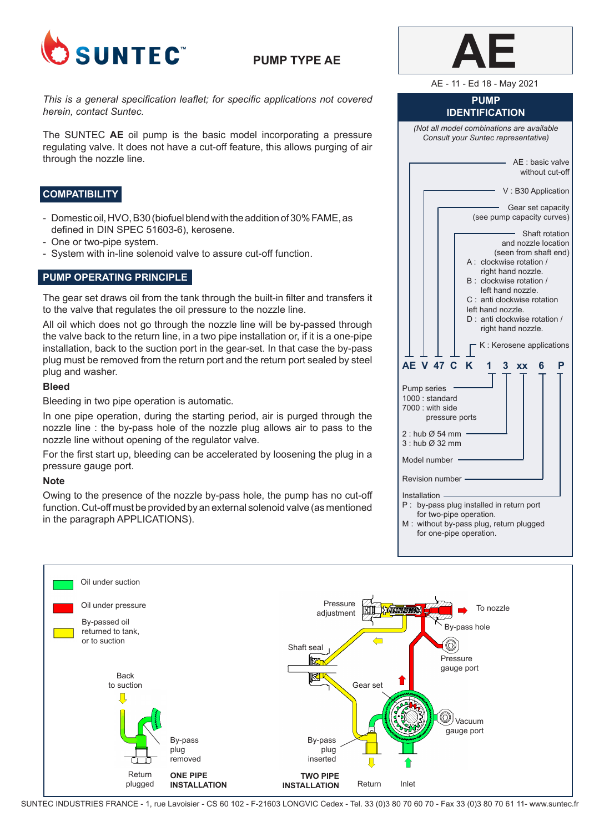

# **PUMP TYPE AE**

*This is a general specification leaflet; for specific applications not covered herein, contact Suntec.*

The SUNTEC **AE** oil pump is the basic model incorporating a pressure regulating valve. It does not have a cut-off feature, this allows purging of air through the nozzle line.

## **COMPATIBILITY**

- Domestic oil, HVO, B30 (biofuel blend with the addition of 30% FAME, as defined in DIN SPEC 51603-6), kerosene.
- One or two-pipe system.
- System with in-line solenoid valve to assure cut-off function.

## **PUMP OPERATING PRINCIPLE**

The gear set draws oil from the tank through the built-in filter and transfers it to the valve that regulates the oil pressure to the nozzle line.

All oil which does not go through the nozzle line will be by-passed through the valve back to the return line, in a two pipe installation or, if it is a one-pipe installation, back to the suction port in the gear-set. In that case the by-pass plug must be removed from the return port and the return port sealed by steel plug and washer.

### **Bleed**

Bleeding in two pipe operation is automatic.

In one pipe operation, during the starting period, air is purged through the nozzle line : the by-pass hole of the nozzle plug allows air to pass to the nozzle line without opening of the regulator valve.

For the first start up, bleeding can be accelerated by loosening the plug in a pressure gauge port.

### **Note**

Owing to the presence of the nozzle by-pass hole, the pump has no cut-off function. Cut-off must be provided by an external solenoid valve (as mentioned in the paragraph APPLICATIONS).

| AE - 11 - Ed 18 - May 2021                                                                                                                                                                                                                                                                                                                                                            |  |  |  |  |
|---------------------------------------------------------------------------------------------------------------------------------------------------------------------------------------------------------------------------------------------------------------------------------------------------------------------------------------------------------------------------------------|--|--|--|--|
| <b>PUMP</b><br><b>IDENTIFICATION</b>                                                                                                                                                                                                                                                                                                                                                  |  |  |  |  |
| (Not all model combinations are available<br>Consult your Suntec representative)                                                                                                                                                                                                                                                                                                      |  |  |  |  |
| AE : basic valve<br>without cut-off                                                                                                                                                                                                                                                                                                                                                   |  |  |  |  |
| V: B30 Application                                                                                                                                                                                                                                                                                                                                                                    |  |  |  |  |
| Gear set capacity<br>(see pump capacity curves)                                                                                                                                                                                                                                                                                                                                       |  |  |  |  |
| Shaft rotation<br>and nozzle location<br>(seen from shaft end)<br>A: clockwise rotation /<br>right hand nozzle.<br>clockwise rotation /<br>B :<br>left hand nozzle.<br>C: anti clockwise rotation<br>left hand nozzle.<br>D : anti clockwise rotation /<br>right hand nozzle.<br>K: Kerosene applications<br>V 47 C<br>K<br>AЕ<br>1<br>3<br>P<br>6<br><b>XX</b><br><b>Pump series</b> |  |  |  |  |
| 1000: standard<br>7000 : with side<br>pressure ports                                                                                                                                                                                                                                                                                                                                  |  |  |  |  |
| 2 : hub $\varnothing$ 54 mm<br>3 : hub Ø 32 mm                                                                                                                                                                                                                                                                                                                                        |  |  |  |  |
| Model number                                                                                                                                                                                                                                                                                                                                                                          |  |  |  |  |
| Revision number ·                                                                                                                                                                                                                                                                                                                                                                     |  |  |  |  |
| Installation ·<br>P:<br>by-pass plug installed in return port<br>for two-pipe operation.<br>M: without by-pass plug, return plugged<br>for one-pipe operation.                                                                                                                                                                                                                        |  |  |  |  |